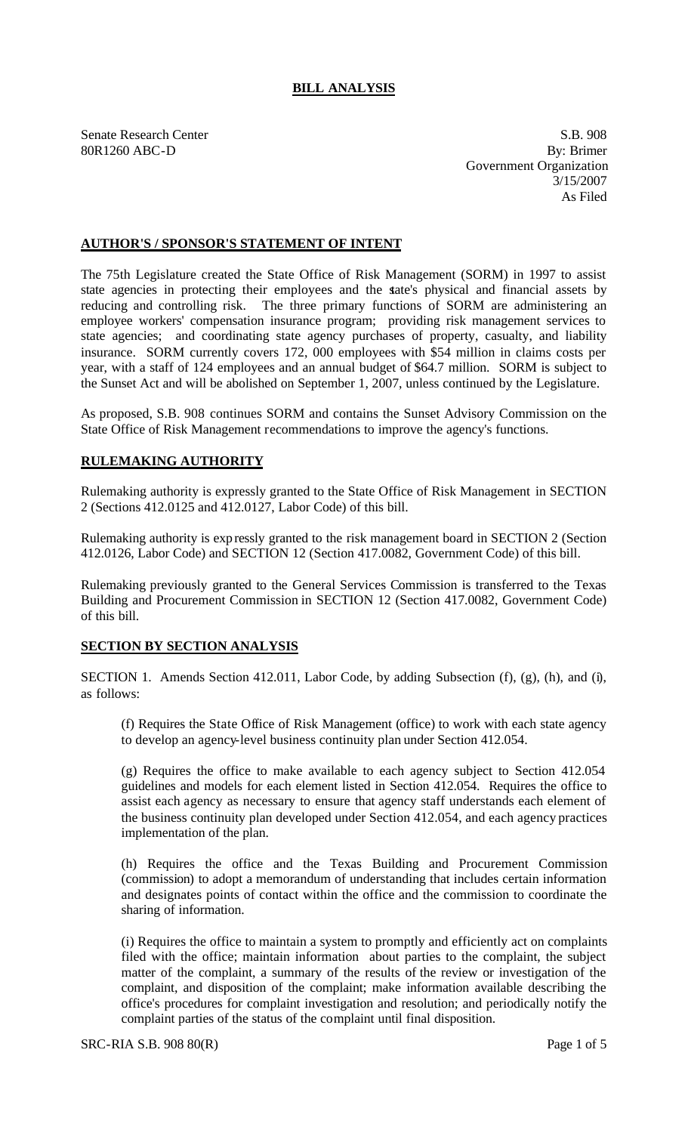## **BILL ANALYSIS**

Senate Research Center S.B. 908 80R1260 ABC-D By: Brimer Government Organization 3/15/2007 As Filed

## **AUTHOR'S / SPONSOR'S STATEMENT OF INTENT**

The 75th Legislature created the State Office of Risk Management (SORM) in 1997 to assist state agencies in protecting their employees and the state's physical and financial assets by reducing and controlling risk. The three primary functions of SORM are administering an employee workers' compensation insurance program; providing risk management services to state agencies; and coordinating state agency purchases of property, casualty, and liability insurance. SORM currently covers 172, 000 employees with \$54 million in claims costs per year, with a staff of 124 employees and an annual budget of \$64.7 million. SORM is subject to the Sunset Act and will be abolished on September 1, 2007, unless continued by the Legislature.

As proposed, S.B. 908 continues SORM and contains the Sunset Advisory Commission on the State Office of Risk Management recommendations to improve the agency's functions.

## **RULEMAKING AUTHORITY**

Rulemaking authority is expressly granted to the State Office of Risk Management in SECTION 2 (Sections 412.0125 and 412.0127, Labor Code) of this bill.

Rulemaking authority is expressly granted to the risk management board in SECTION 2 (Section 412.0126, Labor Code) and SECTION 12 (Section 417.0082, Government Code) of this bill.

Rulemaking previously granted to the General Services Commission is transferred to the Texas Building and Procurement Commission in SECTION 12 (Section 417.0082, Government Code) of this bill.

## **SECTION BY SECTION ANALYSIS**

SECTION 1. Amends Section 412.011, Labor Code, by adding Subsection (f), (g), (h), and (i), as follows:

(f) Requires the State Office of Risk Management (office) to work with each state agency to develop an agency-level business continuity plan under Section 412.054.

(g) Requires the office to make available to each agency subject to Section 412.054 guidelines and models for each element listed in Section 412.054. Requires the office to assist each agency as necessary to ensure that agency staff understands each element of the business continuity plan developed under Section 412.054, and each agency practices implementation of the plan.

(h) Requires the office and the Texas Building and Procurement Commission (commission) to adopt a memorandum of understanding that includes certain information and designates points of contact within the office and the commission to coordinate the sharing of information.

(i) Requires the office to maintain a system to promptly and efficiently act on complaints filed with the office; maintain information about parties to the complaint, the subject matter of the complaint, a summary of the results of the review or investigation of the complaint, and disposition of the complaint; make information available describing the office's procedures for complaint investigation and resolution; and periodically notify the complaint parties of the status of the complaint until final disposition.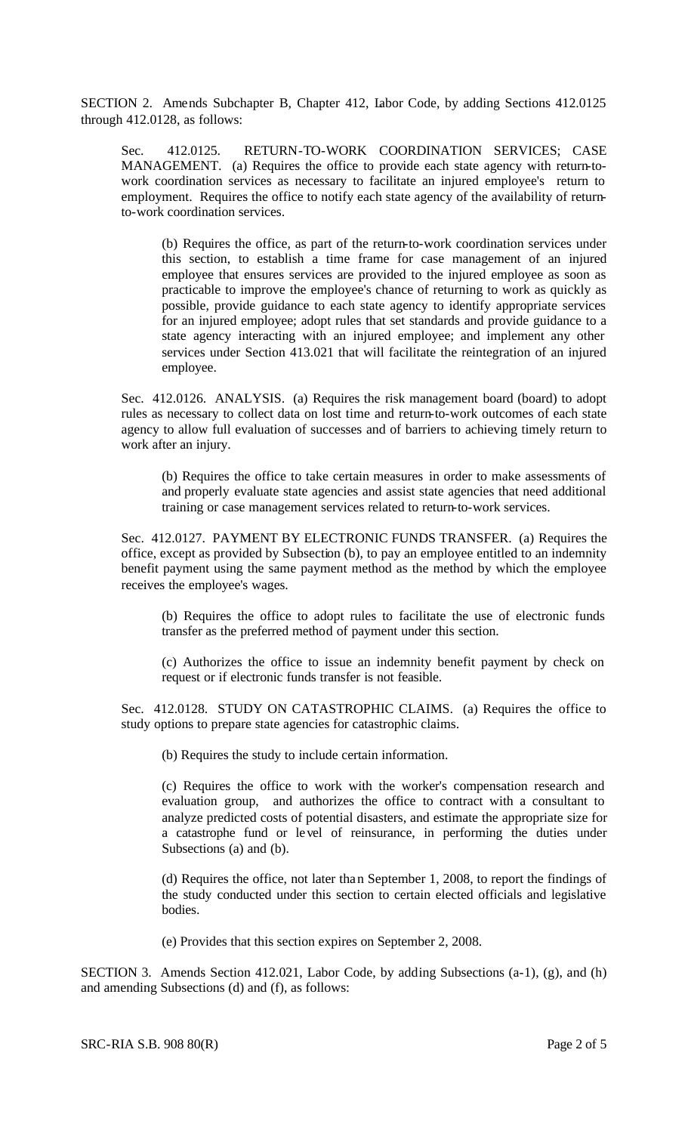SECTION 2. Amends Subchapter B, Chapter 412, Labor Code, by adding Sections 412.0125 through 412.0128, as follows:

Sec. 412.0125. RETURN-TO-WORK COORDINATION SERVICES; CASE MANAGEMENT. (a) Requires the office to provide each state agency with return-towork coordination services as necessary to facilitate an injured employee's return to employment. Requires the office to notify each state agency of the availability of returnto-work coordination services.

(b) Requires the office, as part of the return-to-work coordination services under this section, to establish a time frame for case management of an injured employee that ensures services are provided to the injured employee as soon as practicable to improve the employee's chance of returning to work as quickly as possible, provide guidance to each state agency to identify appropriate services for an injured employee; adopt rules that set standards and provide guidance to a state agency interacting with an injured employee; and implement any other services under Section 413.021 that will facilitate the reintegration of an injured employee.

Sec. 412.0126. ANALYSIS. (a) Requires the risk management board (board) to adopt rules as necessary to collect data on lost time and return-to-work outcomes of each state agency to allow full evaluation of successes and of barriers to achieving timely return to work after an injury.

(b) Requires the office to take certain measures in order to make assessments of and properly evaluate state agencies and assist state agencies that need additional training or case management services related to return-to-work services.

Sec. 412.0127. PAYMENT BY ELECTRONIC FUNDS TRANSFER. (a) Requires the office, except as provided by Subsection (b), to pay an employee entitled to an indemnity benefit payment using the same payment method as the method by which the employee receives the employee's wages.

(b) Requires the office to adopt rules to facilitate the use of electronic funds transfer as the preferred method of payment under this section.

(c) Authorizes the office to issue an indemnity benefit payment by check on request or if electronic funds transfer is not feasible.

Sec. 412.0128. STUDY ON CATASTROPHIC CLAIMS. (a) Requires the office to study options to prepare state agencies for catastrophic claims.

(b) Requires the study to include certain information.

(c) Requires the office to work with the worker's compensation research and evaluation group, and authorizes the office to contract with a consultant to analyze predicted costs of potential disasters, and estimate the appropriate size for a catastrophe fund or level of reinsurance, in performing the duties under Subsections (a) and (b).

(d) Requires the office, not later than September 1, 2008, to report the findings of the study conducted under this section to certain elected officials and legislative bodies.

(e) Provides that this section expires on September 2, 2008.

SECTION 3. Amends Section 412.021, Labor Code, by adding Subsections (a-1), (g), and (h) and amending Subsections (d) and (f), as follows: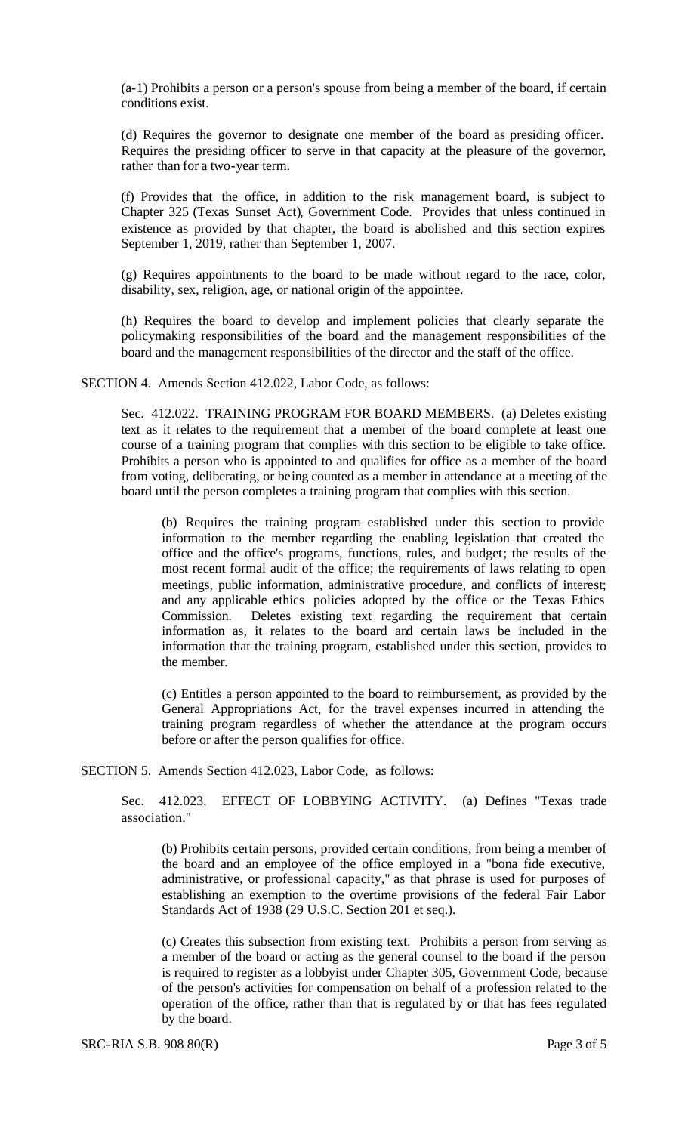(a-1) Prohibits a person or a person's spouse from being a member of the board, if certain conditions exist.

(d) Requires the governor to designate one member of the board as presiding officer. Requires the presiding officer to serve in that capacity at the pleasure of the governor, rather than for a two-year term.

(f) Provides that the office, in addition to the risk management board, is subject to Chapter 325 (Texas Sunset Act), Government Code. Provides that unless continued in existence as provided by that chapter, the board is abolished and this section expires September 1, 2019, rather than September 1, 2007.

(g) Requires appointments to the board to be made without regard to the race, color, disability, sex, religion, age, or national origin of the appointee.

(h) Requires the board to develop and implement policies that clearly separate the policymaking responsibilities of the board and the management responsibilities of the board and the management responsibilities of the director and the staff of the office.

SECTION 4. Amends Section 412.022, Labor Code, as follows:

Sec. 412.022. TRAINING PROGRAM FOR BOARD MEMBERS. (a) Deletes existing text as it relates to the requirement that a member of the board complete at least one course of a training program that complies with this section to be eligible to take office. Prohibits a person who is appointed to and qualifies for office as a member of the board from voting, deliberating, or being counted as a member in attendance at a meeting of the board until the person completes a training program that complies with this section.

(b) Requires the training program established under this section to provide information to the member regarding the enabling legislation that created the office and the office's programs, functions, rules, and budget; the results of the most recent formal audit of the office; the requirements of laws relating to open meetings, public information, administrative procedure, and conflicts of interest; and any applicable ethics policies adopted by the office or the Texas Ethics Commission. Deletes existing text regarding the requirement that certain information as, it relates to the board and certain laws be included in the information that the training program, established under this section, provides to the member.

(c) Entitles a person appointed to the board to reimbursement, as provided by the General Appropriations Act, for the travel expenses incurred in attending the training program regardless of whether the attendance at the program occurs before or after the person qualifies for office.

SECTION 5. Amends Section 412.023, Labor Code, as follows:

Sec. 412.023. EFFECT OF LOBBYING ACTIVITY. (a) Defines "Texas trade association."

(b) Prohibits certain persons, provided certain conditions, from being a member of the board and an employee of the office employed in a "bona fide executive, administrative, or professional capacity," as that phrase is used for purposes of establishing an exemption to the overtime provisions of the federal Fair Labor Standards Act of 1938 (29 U.S.C. Section 201 et seq.).

(c) Creates this subsection from existing text. Prohibits a person from serving as a member of the board or acting as the general counsel to the board if the person is required to register as a lobbyist under Chapter 305, Government Code, because of the person's activities for compensation on behalf of a profession related to the operation of the office, rather than that is regulated by or that has fees regulated by the board.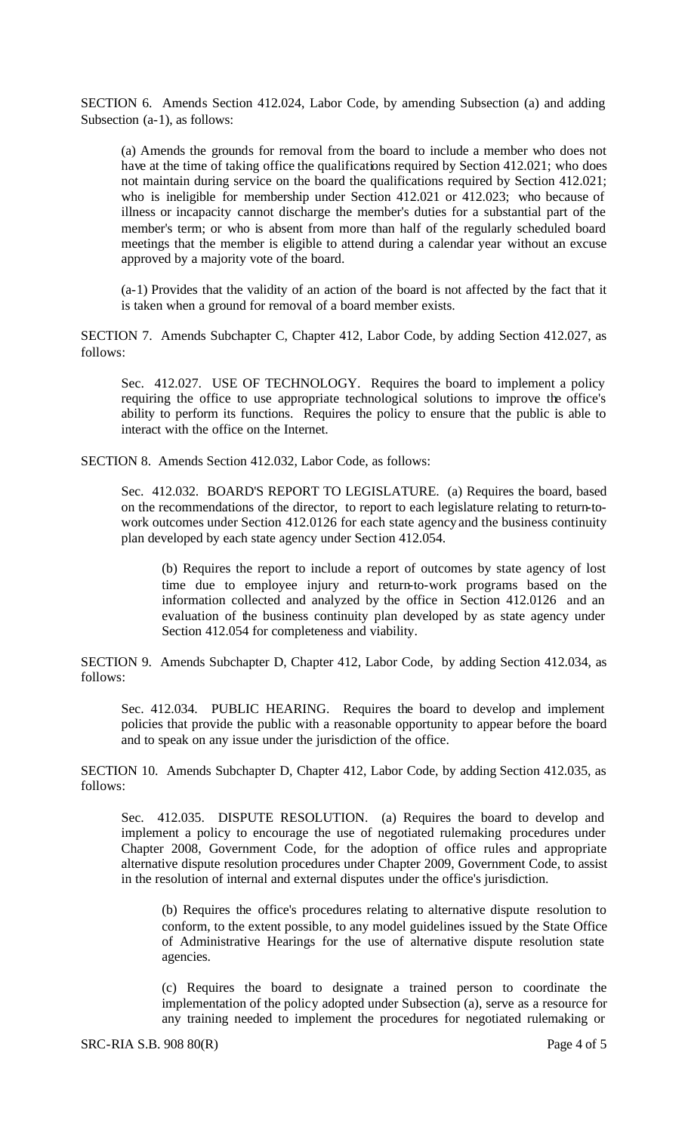SECTION 6. Amends Section 412.024, Labor Code, by amending Subsection (a) and adding Subsection (a-1), as follows:

(a) Amends the grounds for removal from the board to include a member who does not have at the time of taking office the qualifications required by Section 412.021; who does not maintain during service on the board the qualifications required by Section 412.021; who is ineligible for membership under Section 412.021 or 412.023; who because of illness or incapacity cannot discharge the member's duties for a substantial part of the member's term; or who is absent from more than half of the regularly scheduled board meetings that the member is eligible to attend during a calendar year without an excuse approved by a majority vote of the board.

(a-1) Provides that the validity of an action of the board is not affected by the fact that it is taken when a ground for removal of a board member exists.

SECTION 7. Amends Subchapter C, Chapter 412, Labor Code, by adding Section 412.027, as follows:

Sec. 412.027. USE OF TECHNOLOGY. Requires the board to implement a policy requiring the office to use appropriate technological solutions to improve the office's ability to perform its functions. Requires the policy to ensure that the public is able to interact with the office on the Internet.

SECTION 8. Amends Section 412.032, Labor Code, as follows:

Sec. 412.032. BOARD'S REPORT TO LEGISLATURE. (a) Requires the board, based on the recommendations of the director, to report to each legislature relating to return-towork outcomes under Section 412.0126 for each state agency and the business continuity plan developed by each state agency under Section 412.054.

(b) Requires the report to include a report of outcomes by state agency of lost time due to employee injury and return-to-work programs based on the information collected and analyzed by the office in Section 412.0126 and an evaluation of the business continuity plan developed by as state agency under Section 412.054 for completeness and viability.

SECTION 9. Amends Subchapter D, Chapter 412, Labor Code, by adding Section 412.034, as follows:

Sec. 412.034. PUBLIC HEARING. Requires the board to develop and implement policies that provide the public with a reasonable opportunity to appear before the board and to speak on any issue under the jurisdiction of the office.

SECTION 10. Amends Subchapter D, Chapter 412, Labor Code, by adding Section 412.035, as follows:

Sec. 412.035. DISPUTE RESOLUTION. (a) Requires the board to develop and implement a policy to encourage the use of negotiated rulemaking procedures under Chapter 2008, Government Code, for the adoption of office rules and appropriate alternative dispute resolution procedures under Chapter 2009, Government Code, to assist in the resolution of internal and external disputes under the office's jurisdiction.

(b) Requires the office's procedures relating to alternative dispute resolution to conform, to the extent possible, to any model guidelines issued by the State Office of Administrative Hearings for the use of alternative dispute resolution state agencies.

(c) Requires the board to designate a trained person to coordinate the implementation of the policy adopted under Subsection (a), serve as a resource for any training needed to implement the procedures for negotiated rulemaking or